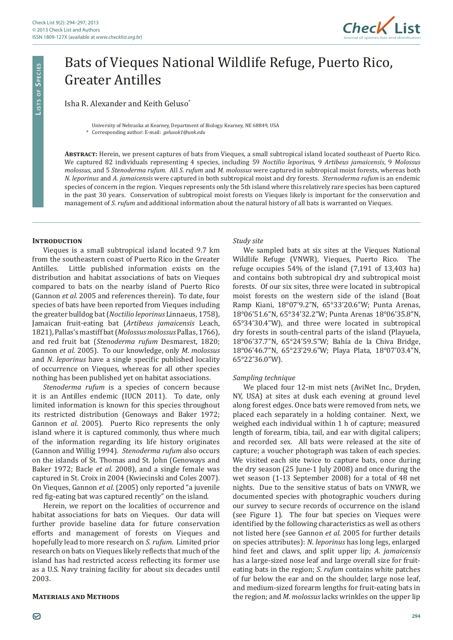

# Bats of Vieques National Wildlife Refuge, Puerto Rico, Greater Antilles

Isha R. Alexander and Keith Geluso\*

#### University of Nebraska at Kearney, Department of Biology. Kearney, NE 68849, USA

\* Corresponding author: E-mail: *gelusok1@unk.edu*

**Abstract:** Herein, we present captures of bats from Vieques, a small subtropical island located southeast of Puerto Rico. We captured 82 individuals representing 4 species, including 59 *Noctilio leporinus*, 9 *Artibeus jamaicensis*, 9 *Molossus molossus*, and 5 *Stenoderma rufum*. All *S. rufum* and *M. molossus* were captured in subtropical moist forests, whereas both *N. leporinus* and *A. jamaicensis* were captured in both subtropical moist and dry forests. *Sternoderma rufum* is an endemic species of concern in the region. Vieques represents only the 5th island where this relatively rare species has been captured in the past 30 years. Conservation of subtropical moist forests on Vieques likely is important for the conservation and management of *S. rufum* and additional information about the natural history of all bats is warranted on Vieques.

### **INTRODUCTION**

**Li s t s o f Sp e c i e s**

LISTS OF SPECIES

Vieques is a small subtropical island located 9.7 km from the southeastern coast of Puerto Rico in the Greater<br>Antilles. Little published information exists on the Little published information exists on the distribution and habitat associations of bats on Vieques compared to bats on the nearby island of Puerto Rico (Gannon *et al.* 2005 and references therein). To date, four species of bats have been reported from Vieques including the greater bulldog bat (*Noctilio leporinus* Linnaeus, 1758), Jamaican fruit-eating bat (*Artibeus jamaicensis* Leach, 1821),Pallas's mastiff bat (*Molossus molossus* Pallas, 1766), and red fruit bat (*Stenoderma rufum* Desmarest, 1820; Gannon *et al.* 2005). To our knowledge, only *M*. *molossus* and *N*. *leporinus* have a single specific published locality of occurrence on Vieques, whereas for all other species nothing has been published yet on habitat associations.

*Stenoderma rufum* is a species of concern because it is an Antilles endemic (IUCN 2011). To date, only limited information is known for this species throughout its restricted distribution (Genoways and Baker 1972; Gannon *et al.* 2005). Puerto Rico represents the only island where it is captured commonly, thus where much of the information regarding its life history originates (Gannon and Willig 1994). *Stenoderma rufum* also occurs on the islands of St. Thomas and St. John (Genoways and Baker 1972; Bacle *et al.* 2008), and a single female was captured in St. Croix in 2004 (Kwiecinski and Coles 2007). On Vieques, Gannon *et al.* (2005) only reported "a juvenile red fig-eating bat was captured recently" on the island.

Herein, we report on the localities of occurrence and habitat associations for bats on Vieques. Our data will further provide baseline data for future conservation efforts and management of forests on Vieques and hopefully lead to more research on *S*. *rufum*. Limited prior research on bats on Vieques likely reflects that much of the island has had restricted access reflecting its former use as a U.S. Navy training facility for about six decades until 2003.

### **Materials and Methods**

*Study site*

We sampled bats at six sites at the Vieques National Wildlife Refuge (VNWR), Vieques, Puerto Rico. The refuge occupies 54% of the island (7,191 of 13,403 ha) and contains both subtropical dry and subtropical moist forests. Of our six sites, three were located in subtropical moist forests on the western side of the island (Boat Ramp Kiani, 18°07'9.2"N, 65°33'20.6"W; Punta Arenas, 18°06'51.6"N, 65°34'32.2"W; Punta Arenas 18°06'35.8"N, 65°34'30.4"W), and three were located in subtropical dry forests in south-central parts of the island (Playuela, 18°06'37.7"N, 65°24'59.5"W; Bahía de la Chiva Bridge, 18°06'46.7"N, 65°23'29.6"W; Playa Plata, 18°07'03.4"N, 65°22'36.0"W).

### *Sampling technique*

We placed four 12-m mist nets (AviNet Inc., Dryden, NY, USA) at sites at dusk each evening at ground level along forest edges. Once bats were removed from nets, we placed each separately in a holding container. Next, we weighed each individual within 1 h of capture; measured length of forearm, tibia, tail, and ear with digital calipers; and recorded sex. All bats were released at the site of capture; a voucher photograph was taken of each species. We visited each site twice to capture bats, once during the dry season (25 June-1 July 2008) and once during the wet season (1-13 September 2008) for a total of 48 net nights. Due to the sensitive status of bats on VNWR, we documented species with photographic vouchers during our survey to secure records of occurrence on the island (see Figure 1). The four bat species on Vieques were identified by the following characteristics as well as others not listed here (see Gannon *et al.* 2005 for further details on species attributes): *N*. *leporinus* has long legs, enlarged hind feet and claws, and split upper lip; *A*. *jamaicensis* has a large-sized nose leaf and large overall size for fruiteating bats in the region; *S*. *rufum* contains white patches of fur below the ear and on the shoulder, large nose leaf, and medium-sized forearm lengths for fruit-eating bats in the region; and *M*. *molossus* lacks wrinkles on the upper lip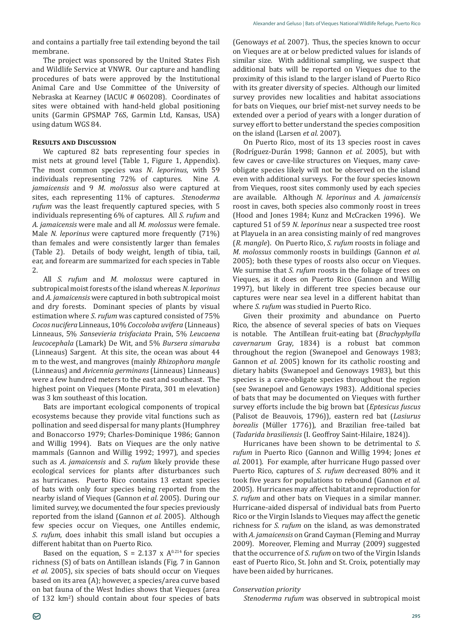and contains a partially free tail extending beyond the tail membrane.

The project was sponsored by the United States Fish and Wildlife Service at VNWR. Our capture and handling procedures of bats were approved by the Institutional Animal Care and Use Committee of the University of Nebraska at Kearney (IACUC # 060208). Coordinates of sites were obtained with hand-held global positioning units (Garmin GPSMAP 76S, Garmin Ltd, Kansas, USA) using datum WGS 84.

## **Results and Discussion**

We captured 82 bats representing four species in mist nets at ground level (Table 1, Figure 1, Appendix). The most common species was *N*. *leporinus*, with 59 individuals representing 72% of captures. *jamaicensis* and 9 *M*. *molossus* also were captured at sites, each representing 11% of captures. *Stenoderma rufum* was the least frequently captured species, with 5 individuals representing 6% of captures. All *S. rufum* and *A. jamaicensis* were male and all *M. molossus* were female. Male *N. leporinus* were captured more frequently (71%) than females and were consistently larger than females (Table 2). Details of body weight, length of tibia, tail, ear, and forearm are summarized for each species in Table 2.

All *S. rufum* and *M. molossus* were captured in subtropical moist forests of the island whereas *N. leporinus* and *A. jamaicensis* were captured in both subtropical moist and dry forests. Dominant species of plants by visual estimation where *S*. *rufum* was captured consisted of 75% *Cocos nucifera* Linneaus, 10% *Coccoloba uvifera* (Linneaus) Linneaus, 5% *Sansevieria trisfaciata* Prain, 5% *Leucaena leucocephala* (Lamark) De Wit, and 5% *Bursera simaruba* (Linneaus) Sargent. At this site, the ocean was about 44 m to the west, and mangroves (mainly *Rhizophora mangle* (Linneaus) and *Avicennia germinans* (Linneaus) Linneaus) were a few hundred meters to the east and southeast. The highest point on Vieques (Monte Pirata, 301 m elevation) was 3 km southeast of this location.

Bats are important ecological components of tropical ecosystems because they provide vital functions such as pollination and seed dispersal for many plants (Humphrey and Bonaccorso 1979; Charles-Dominique 1986; Gannon and Willig 1994). Bats on Vieques are the only native mammals (Gannon and Willig 1992; 1997), and species such as *A*. *jamaicensis* and *S*. *rufum* likely provide these ecological services for plants after disturbances such as hurricanes. Puerto Rico contains 13 extant species of bats with only four species being reported from the nearby island of Vieques (Gannon *et al.* 2005). During our limited survey, we documented the four species previously reported from the island (Gannon *et al.* 2005). Although few species occur on Vieques, one Antilles endemic, *S*. *rufum*, does inhabit this small island but occupies a different habitat than on Puerto Rico.

Based on the equation,  $S = 2.137 \times A^{0.214}$  for species richness (S) of bats on Antillean islands (Fig. 7 in Gannon *et al.* 2005), six species of bats should occur on Vieques based on its area (A); however, a species/area curve based on bat fauna of the West Indies shows that Vieques (area of 132 km<sup>2</sup> ) should contain about four species of bats

(Genoways *et al.* 2007). Thus, the species known to occur on Vieques are at or below predicted values for islands of similar size. With additional sampling, we suspect that additional bats will be reported on Vieques due to the proximity of this island to the larger island of Puerto Rico with its greater diversity of species. Although our limited survey provides new localities and habitat associations for bats on Vieques, our brief mist-net survey needs to be extended over a period of years with a longer duration of survey effort to better understand the species composition on the island (Larsen *et al.* 2007).

On Puerto Rico, most of its 13 species roost in caves (Rodríguez-Durán 1998; Gannon *et al.* 2005), but with few caves or cave-like structures on Vieques, many caveobligate species likely will not be observed on the island even with additional surveys. For the four species known from Vieques, roost sites commonly used by each species are available. Although *N. leporinus* and *A. jamaicensis* roost in caves, both species also commonly roost in trees (Hood and Jones 1984; Kunz and McCracken 1996). We captured 51 of 59 *N*. *leporinus* near a suspected tree roost at Playuela in an area consisting mainly of red mangroves (*R*. *mangle*). On Puerto Rico, *S. rufum* roosts in foliage and *M. molossus* commonly roosts in buildings (Gannon *et al.* 2005); both these types of roosts also occur on Vieques. We surmise that *S*. *rufum* roosts in the foliage of trees on Vieques, as it does on Puerto Rico (Gannon and Willig 1997), but likely in different tree species because our captures were near sea level in a different habitat than where *S*. *rufum* was studied in Puerto Rico.

Given their proximity and abundance on Puerto Rico, the absence of several species of bats on Vieques is notable. The Antillean fruit-eating bat (*Brachyphylla cavernarum* Gray, 1834) is a robust bat common throughout the region (Swanepoel and Genoways 1983; Gannon *et al.* 2005) known for its catholic roosting and dietary habits (Swanepoel and Genoways 1983), but this species is a cave-obligate species throughout the region (see Swanepoel and Genoways 1983). Additional species of bats that may be documented on Vieques with further survey efforts include the big brown bat (*Eptesicus fuscus* (Palisot de Beauvois, 1796)), eastern red bat (*Lasiurus borealis* (Müller 1776)), and Brazilian free-tailed bat (*Tadarida brasiliensis* (I. Geoffroy Saint-Hilaire, 1824)).

Hurricanes have been shown to be detrimental to *S*. *rufum* in Puerto Rico (Gannon and Willig 1994; Jones *et al.* 2001). For example, after hurricane Hugo passed over Puerto Rico, captures of *S*. *rufum* decreased 80% and it took five years for populations to rebound (Gannon *et al.* 2005). Hurricanes may affect habitat and reproduction for *S*. *rufum* and other bats on Vieques in a similar manner. Hurricane-aided dispersal of individual bats from Puerto Rico or the Virgin Islands to Vieques may affect the genetic richness for *S*. *rufum* on the island, as was demonstrated with *A*. *jamaicensis* on Grand Cayman (Fleming and Murray 2009). Moreover, Fleming and Murray (2009) suggested that the occurrence of *S*. *rufum* on two of the Virgin Islands east of Puerto Rico, St. John and St. Croix, potentially may have been aided by hurricanes.

## *Conservation priority*

*Stenoderma rufum* was observed in subtropical moist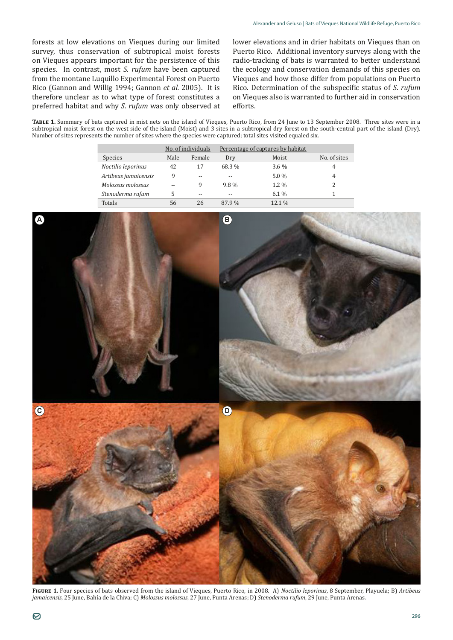forests at low elevations on Vieques during our limited survey, thus conservation of subtropical moist forests on Vieques appears important for the persistence of this species. In contrast, most *S. rufum* have been captured from the montane Luquillo Experimental Forest on Puerto Rico (Gannon and Willig 1994; Gannon *et al.* 2005). It is therefore unclear as to what type of forest constitutes a preferred habitat and why *S*. *rufum* was only observed at lower elevations and in drier habitats on Vieques than on Puerto Rico. Additional inventory surveys along with the radio-tracking of bats is warranted to better understand the ecology and conservation demands of this species on Vieques and how those differ from populations on Puerto Rico. Determination of the subspecific status of *S*. *rufum* on Vieques also is warranted to further aid in conservation efforts.

**Table 1.** Summary of bats captured in mist nets on the island of Vieques, Puerto Rico, from 24 June to 13 September 2008. Three sites were in a subtropical moist forest on the west side of the island (Moist) and 3 sites in a subtropical dry forest on the south-central part of the island (Dry). Number of sites represents the number of sites where the species were captured; total sites visited equaled six.

|                      |      | No. of individuals | Percentage of captures by habitat |         |              |
|----------------------|------|--------------------|-----------------------------------|---------|--------------|
| <b>Species</b>       | Male | Female             | Dry                               | Moist   | No. of sites |
| Noctilio leporinus   | 42   | 17                 | 68.3 %                            | $3.6\%$ | 4            |
| Artibeus jamaicensis | 9    | --                 | $-$                               | $5.0\%$ | 4            |
| Molossus molossus    | $-$  | 9                  | 9.8%                              | $1.2\%$ |              |
| Stenoderma rufum     | 5    | $- -$              | $-$                               | $6.1\%$ |              |
| Totals               | 56   | 26                 | 87.9%                             | 12.1 %  |              |

**A C B D**

**Figure 1.** Four species of bats observed from the island of Vieques, Puerto Rico, in 2008. A) *Noctilio leporinus*, 8 September, Playuela; B) *Artibeus jamaicensis*, 25 June, Bahía de la Chiva; C) *Molossus molossus*, 27 June, Punta Arenas; D) *Stenoderma rufum*, 29 June, Punta Arenas.